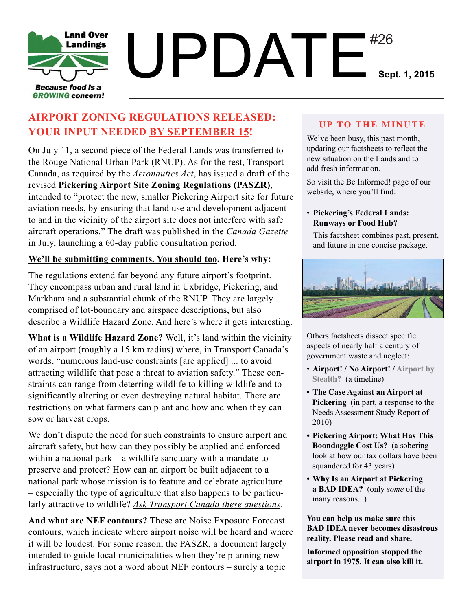

## $UPDATE^{\texttt{\#26}}_{\texttt{Sept. 1, 2015}}$ #26

### **AIRPORT ZONING REGULATIONS RELEASED: YOUR INPUT NEEDED BY SEPTEMBER 15!**

On July 11, a second piece of the Federal Lands was transferred to the Rouge National Urban Park (RNUP). As for the rest, Transport Canada, as required by the *Aeronautics Act*, has issued a draft of the revised **Pickering Airport Site Zoning Regulations (PASZR)**, intended to "protect the new, smaller Pickering Airport site for future aviation needs, by ensuring that land use and development adjacent to and in the vicinity of the airport site does not interfere with safe aircraft operations." The draft was published in the *Canada Gazette* in July, launching a 60-day public consultation period.

#### **We'll be submitting comments. You should too. Here's why:**

The regulations extend far beyond any future airport's footprint. They encompass urban and rural land in Uxbridge, Pickering, and Markham and a substantial chunk of the RNUP. They are largely comprised of lot-boundary and airspace descriptions, but also describe a Wildlife Hazard Zone. And here's where it gets interesting.

**What is a Wildlife Hazard Zone?** Well, it's land within the vicinity of an airport (roughly a 15 km radius) where, in Transport Canada's words, "numerous land-use constraints [are applied] ... to avoid attracting wildlife that pose a threat to aviation safety." These constraints can range from deterring wildlife to killing wildlife and to significantly altering or even destroying natural habitat. There are restrictions on what farmers can plant and how and when they can sow or harvest crops.

We don't dispute the need for such constraints to ensure airport and aircraft safety, but how can they possibly be applied and enforced within a national park – a wildlife sanctuary with a mandate to preserve and protect? How can an airport be built adjacent to a national park whose mission is to feature and celebrate agriculture – especially the type of agriculture that also happens to be particularly attractive to wildlife? *Ask Transport Canada these questions.*

**And what are NEF contours?** These are Noise Exposure Forecast contours, which indicate where airport noise will be heard and where it will be loudest. For some reason, the PASZR, a document largely intended to guide local municipalities when they're planning new infrastructure, says not a word about NEF contours – surely a topic

#### **UP TO THE MINUTE**

We've been busy, this past month, updating our factsheets to reflect the new situation on the Lands and to add fresh information.

So visit the Be Informed! page of our website, where you'll find:

#### • **Pickering's Federal Lands: Runways or Food Hub?**

This factsheet combines past, present, and future in one concise package.



Others factsheets dissect specific aspects of nearly half a century of government waste and neglect:

- **Airport! / No Airport! / Airport by Stealth?** (a timeline)
- **The Case Against an Airport at Pickering** (in part, a response to the Needs Assessment Study Report of 2010)
- **Pickering Airport: What Has This Boondoggle Cost Us?** (a sobering look at how our tax dollars have been squandered for 43 years)
- **Why Is an Airport at Pickering a BAD IDEA?** (only *some* of the many reasons...)

**You can help us make sure this BAD IDEA never becomes disastrous reality. Please read and share.**

**Informed opposition stopped the airport in 1975. It can also kill it.**